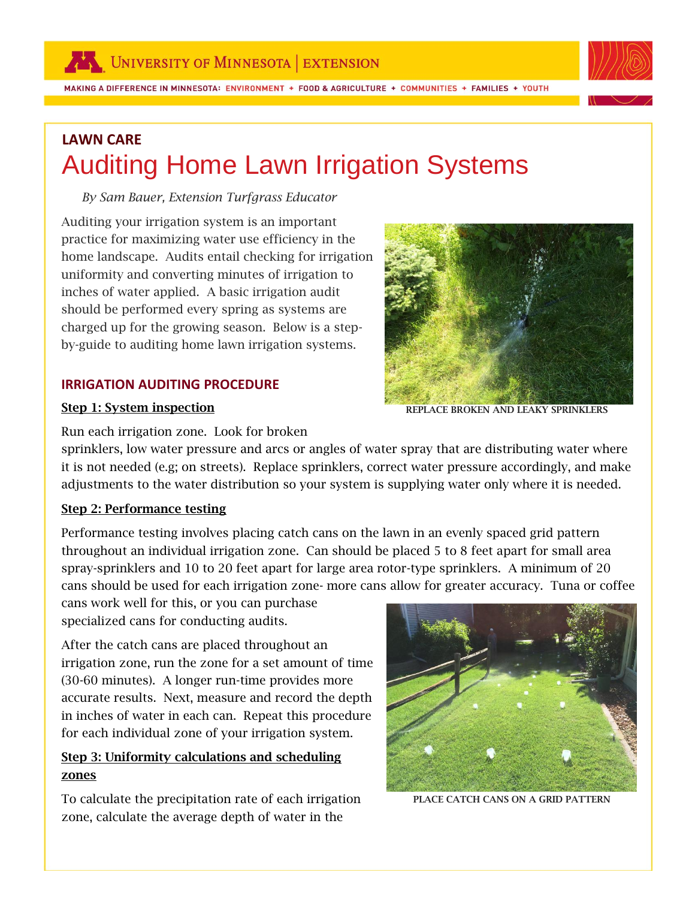MAKING A DIFFERENCE IN MINNESOTA: ENVIRONMENT + FOOD & AGRICULTURE + COMMUNITIES + FAMILIES + YOUTH



# **LAWN CARE** Auditing Home Lawn Irrigation Systems

#### *By Sam Bauer, Extension Turfgrass Educator*

Auditing your irrigation system is an important practice for maximizing water use efficiency in the home landscape. Audits entail checking for irrigation uniformity and converting minutes of irrigation to inches of water applied. A basic irrigation audit should be performed every spring as systems are charged up for the growing season. Below is a stepby-guide to auditing home lawn irrigation systems.

### **IRRIGATION AUDITING PROCEDURE**

#### Step 1: System inspection



REPLACE BROKEN AND LEAKY SPRINKLERS

Run each irrigation zone. Look for broken

sprinklers, low water pressure and arcs or angles of water spray that are distributing water where it is not needed (e.g; on streets). Replace sprinklers, correct water pressure accordingly, and make adjustments to the water distribution so your system is supplying water only where it is needed.

#### Step 2: Performance testing

Performance testing involves placing catch cans on the lawn in an evenly spaced grid pattern throughout an individual irrigation zone. Can should be placed 5 to 8 feet apart for small area spray-sprinklers and 10 to 20 feet apart for large area rotor-type sprinklers. A minimum of 20 cans should be used for each irrigation zone- more cans allow for greater accuracy. Tuna or coffee

cans work well for this, or you can purchase specialized cans for conducting audits.

After the catch cans are placed throughout an irrigation zone, run the zone for a set amount of time (30-60 minutes). A longer run-time provides more accurate results. Next, measure and record the depth in inches of water in each can. Repeat this procedure for each individual zone of your irrigation system.

## Step 3: Uniformity calculations and scheduling zones

To calculate the precipitation rate of each irrigation zone, calculate the average depth of water in the



PLACE CATCH CANS ON A GRID PATTERN